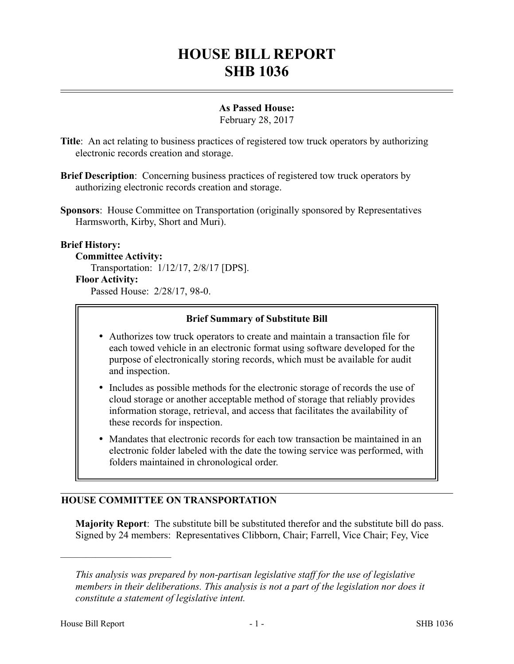# **HOUSE BILL REPORT SHB 1036**

## **As Passed House:**

February 28, 2017

- **Title**: An act relating to business practices of registered tow truck operators by authorizing electronic records creation and storage.
- **Brief Description:** Concerning business practices of registered tow truck operators by authorizing electronic records creation and storage.
- **Sponsors**: House Committee on Transportation (originally sponsored by Representatives Harmsworth, Kirby, Short and Muri).

### **Brief History:**

**Committee Activity:** Transportation: 1/12/17, 2/8/17 [DPS]. **Floor Activity:**

Passed House: 2/28/17, 98-0.

### **Brief Summary of Substitute Bill**

- Authorizes tow truck operators to create and maintain a transaction file for each towed vehicle in an electronic format using software developed for the purpose of electronically storing records, which must be available for audit and inspection.
- Includes as possible methods for the electronic storage of records the use of cloud storage or another acceptable method of storage that reliably provides information storage, retrieval, and access that facilitates the availability of these records for inspection.
- Mandates that electronic records for each tow transaction be maintained in an electronic folder labeled with the date the towing service was performed, with folders maintained in chronological order.

# **HOUSE COMMITTEE ON TRANSPORTATION**

**Majority Report**: The substitute bill be substituted therefor and the substitute bill do pass. Signed by 24 members: Representatives Clibborn, Chair; Farrell, Vice Chair; Fey, Vice

––––––––––––––––––––––

*This analysis was prepared by non-partisan legislative staff for the use of legislative members in their deliberations. This analysis is not a part of the legislation nor does it constitute a statement of legislative intent.*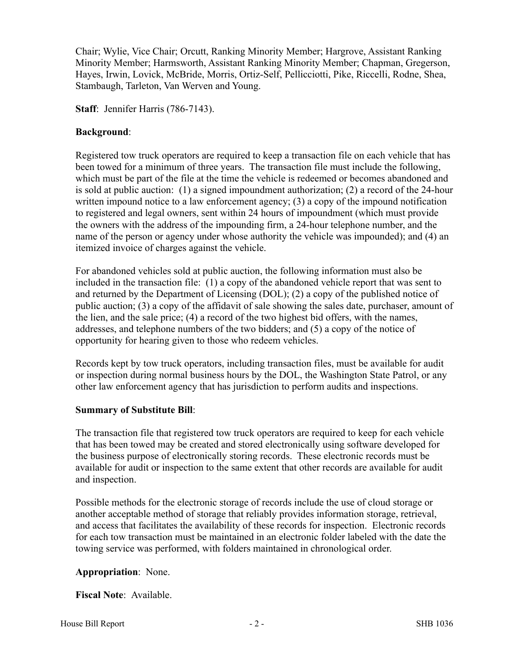Chair; Wylie, Vice Chair; Orcutt, Ranking Minority Member; Hargrove, Assistant Ranking Minority Member; Harmsworth, Assistant Ranking Minority Member; Chapman, Gregerson, Hayes, Irwin, Lovick, McBride, Morris, Ortiz-Self, Pellicciotti, Pike, Riccelli, Rodne, Shea, Stambaugh, Tarleton, Van Werven and Young.

**Staff**: Jennifer Harris (786-7143).

## **Background**:

Registered tow truck operators are required to keep a transaction file on each vehicle that has been towed for a minimum of three years. The transaction file must include the following, which must be part of the file at the time the vehicle is redeemed or becomes abandoned and is sold at public auction: (1) a signed impoundment authorization; (2) a record of the 24-hour written impound notice to a law enforcement agency; (3) a copy of the impound notification to registered and legal owners, sent within 24 hours of impoundment (which must provide the owners with the address of the impounding firm, a 24-hour telephone number, and the name of the person or agency under whose authority the vehicle was impounded); and (4) an itemized invoice of charges against the vehicle.

For abandoned vehicles sold at public auction, the following information must also be included in the transaction file: (1) a copy of the abandoned vehicle report that was sent to and returned by the Department of Licensing (DOL); (2) a copy of the published notice of public auction; (3) a copy of the affidavit of sale showing the sales date, purchaser, amount of the lien, and the sale price; (4) a record of the two highest bid offers, with the names, addresses, and telephone numbers of the two bidders; and (5) a copy of the notice of opportunity for hearing given to those who redeem vehicles.

Records kept by tow truck operators, including transaction files, must be available for audit or inspection during normal business hours by the DOL, the Washington State Patrol, or any other law enforcement agency that has jurisdiction to perform audits and inspections.

# **Summary of Substitute Bill**:

The transaction file that registered tow truck operators are required to keep for each vehicle that has been towed may be created and stored electronically using software developed for the business purpose of electronically storing records. These electronic records must be available for audit or inspection to the same extent that other records are available for audit and inspection.

Possible methods for the electronic storage of records include the use of cloud storage or another acceptable method of storage that reliably provides information storage, retrieval, and access that facilitates the availability of these records for inspection. Electronic records for each tow transaction must be maintained in an electronic folder labeled with the date the towing service was performed, with folders maintained in chronological order.

# **Appropriation**: None.

**Fiscal Note**: Available.

House Bill Report **EXECUTE:**  $\frac{2}{5}$  - 2 - SHB 1036